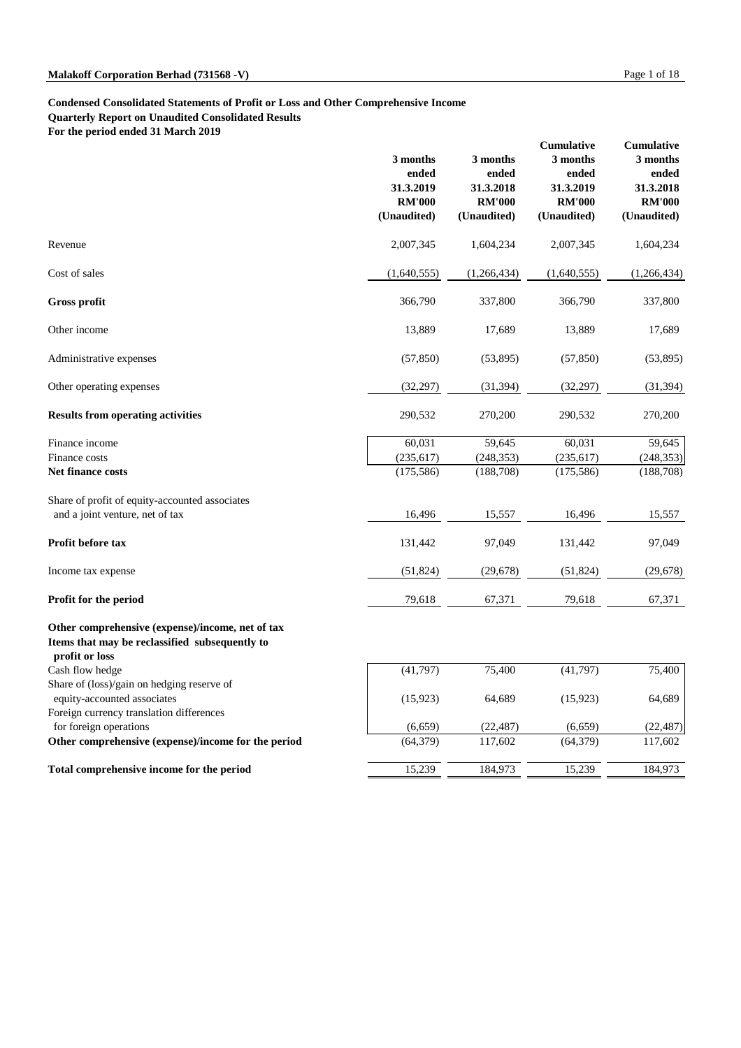# **Malakoff Corporation Berhad (731568 -V)** Page 1 of 18

# **Condensed Consolidated Statements of Profit or Loss and Other Comprehensive Income Quarterly Report on Unaudited Consolidated Results**

**For the period ended 31 March 2019**

|                                                                                                                      | 3 months<br>ended<br>31.3.2019<br><b>RM'000</b><br>(Unaudited) | 3 months<br>ended<br>31.3.2018<br><b>RM'000</b><br>(Unaudited) | <b>Cumulative</b><br>3 months<br>ended<br>31.3.2019<br><b>RM'000</b><br>(Unaudited) | <b>Cumulative</b><br>3 months<br>ended<br>31.3.2018<br><b>RM'000</b><br>(Unaudited) |
|----------------------------------------------------------------------------------------------------------------------|----------------------------------------------------------------|----------------------------------------------------------------|-------------------------------------------------------------------------------------|-------------------------------------------------------------------------------------|
| Revenue                                                                                                              | 2,007,345                                                      | 1,604,234                                                      | 2,007,345                                                                           | 1,604,234                                                                           |
| Cost of sales                                                                                                        | (1,640,555)                                                    | (1,266,434)                                                    | (1,640,555)                                                                         | (1,266,434)                                                                         |
| <b>Gross profit</b>                                                                                                  | 366,790                                                        | 337,800                                                        | 366,790                                                                             | 337,800                                                                             |
| Other income                                                                                                         | 13,889                                                         | 17,689                                                         | 13,889                                                                              | 17,689                                                                              |
| Administrative expenses                                                                                              | (57, 850)                                                      | (53,895)                                                       | (57, 850)                                                                           | (53,895)                                                                            |
| Other operating expenses                                                                                             | (32, 297)                                                      | (31, 394)                                                      | (32, 297)                                                                           | (31, 394)                                                                           |
| <b>Results from operating activities</b>                                                                             | 290,532                                                        | 270,200                                                        | 290,532                                                                             | 270,200                                                                             |
| Finance income                                                                                                       | 60,031                                                         | 59,645                                                         | 60,031                                                                              | 59,645                                                                              |
| Finance costs                                                                                                        | (235, 617)                                                     | (248, 353)                                                     | (235, 617)                                                                          | (248, 353)                                                                          |
| <b>Net finance costs</b>                                                                                             | (175,586)                                                      | (188, 708)                                                     | (175, 586)                                                                          | (188,708)                                                                           |
| Share of profit of equity-accounted associates                                                                       |                                                                |                                                                |                                                                                     |                                                                                     |
| and a joint venture, net of tax                                                                                      | 16,496                                                         | 15,557                                                         | 16,496                                                                              | 15,557                                                                              |
| Profit before tax                                                                                                    | 131,442                                                        | 97,049                                                         | 131,442                                                                             | 97,049                                                                              |
| Income tax expense                                                                                                   | (51, 824)                                                      | (29, 678)                                                      | (51, 824)                                                                           | (29, 678)                                                                           |
| Profit for the period                                                                                                | 79,618                                                         | 67,371                                                         | 79,618                                                                              | 67,371                                                                              |
| Other comprehensive (expense)/income, net of tax<br>Items that may be reclassified subsequently to<br>profit or loss |                                                                |                                                                |                                                                                     |                                                                                     |
| Cash flow hedge                                                                                                      | (41,797)                                                       | 75,400                                                         | (41,797)                                                                            | 75,400                                                                              |
| Share of (loss)/gain on hedging reserve of                                                                           |                                                                |                                                                |                                                                                     |                                                                                     |
| equity-accounted associates                                                                                          | (15, 923)                                                      | 64,689                                                         | (15, 923)                                                                           | 64,689                                                                              |

| Foreign currency translation differences            |           |           |           |           |
|-----------------------------------------------------|-----------|-----------|-----------|-----------|
| for foreign operations                              | (6,659)   | (22, 487) | (6,659)   | (22, 487) |
| Other comprehensive (expense)/income for the period | (64, 379) | 117.602   | (64, 379) | 117,602   |
| Total comprehensive income for the period           | 15,239    | 184,973   | 15,239    | 184,973   |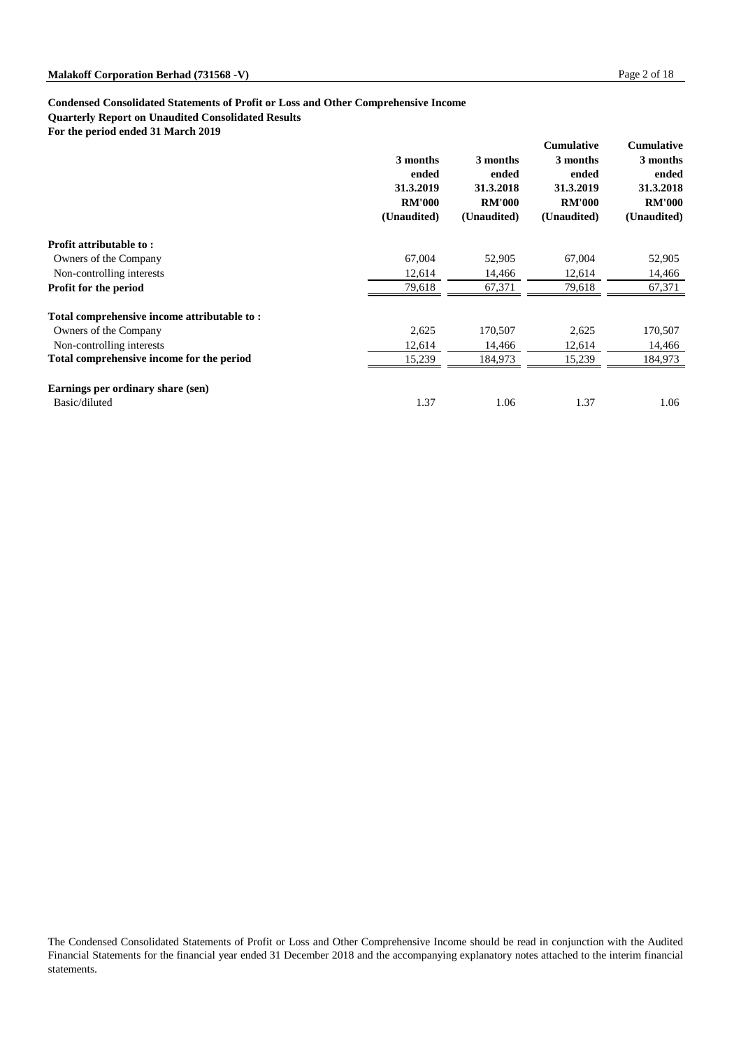# **Condensed Consolidated Statements of Profit or Loss and Other Comprehensive Income Quarterly Report on Unaudited Consolidated Results**

**For the period ended 31 March 2019**

|                                             | 3 months<br>ended<br>31.3.2019<br><b>RM'000</b><br>(Unaudited) | 3 months<br>ended<br>31.3.2018<br><b>RM'000</b><br>(Unaudited) | <b>Cumulative</b><br>3 months<br>ended<br>31.3.2019<br><b>RM'000</b><br>(Unaudited) | <b>Cumulative</b><br>3 months<br>ended<br>31.3.2018<br><b>RM'000</b><br>(Unaudited) |
|---------------------------------------------|----------------------------------------------------------------|----------------------------------------------------------------|-------------------------------------------------------------------------------------|-------------------------------------------------------------------------------------|
| <b>Profit attributable to:</b>              |                                                                |                                                                |                                                                                     |                                                                                     |
| Owners of the Company                       | 67,004                                                         | 52,905                                                         | 67,004                                                                              | 52,905                                                                              |
| Non-controlling interests                   | 12,614                                                         | 14,466                                                         | 12,614                                                                              | 14,466                                                                              |
| <b>Profit for the period</b>                | 79,618                                                         | 67,371                                                         | 79,618                                                                              | 67,371                                                                              |
| Total comprehensive income attributable to: |                                                                |                                                                |                                                                                     |                                                                                     |
| Owners of the Company                       | 2,625                                                          | 170,507                                                        | 2,625                                                                               | 170,507                                                                             |
| Non-controlling interests                   | 12,614                                                         | 14,466                                                         | 12,614                                                                              | 14,466                                                                              |
| Total comprehensive income for the period   | 15,239                                                         | 184,973                                                        | 15,239                                                                              | 184,973                                                                             |
| Earnings per ordinary share (sen)           |                                                                |                                                                |                                                                                     |                                                                                     |
| Basic/diluted                               | 1.37                                                           | 1.06                                                           | 1.37                                                                                | 1.06                                                                                |

The Condensed Consolidated Statements of Profit or Loss and Other Comprehensive Income should be read in conjunction with the Audited Financial Statements for the financial year ended 31 December 2018 and the accompanying explanatory notes attached to the interim financial statements.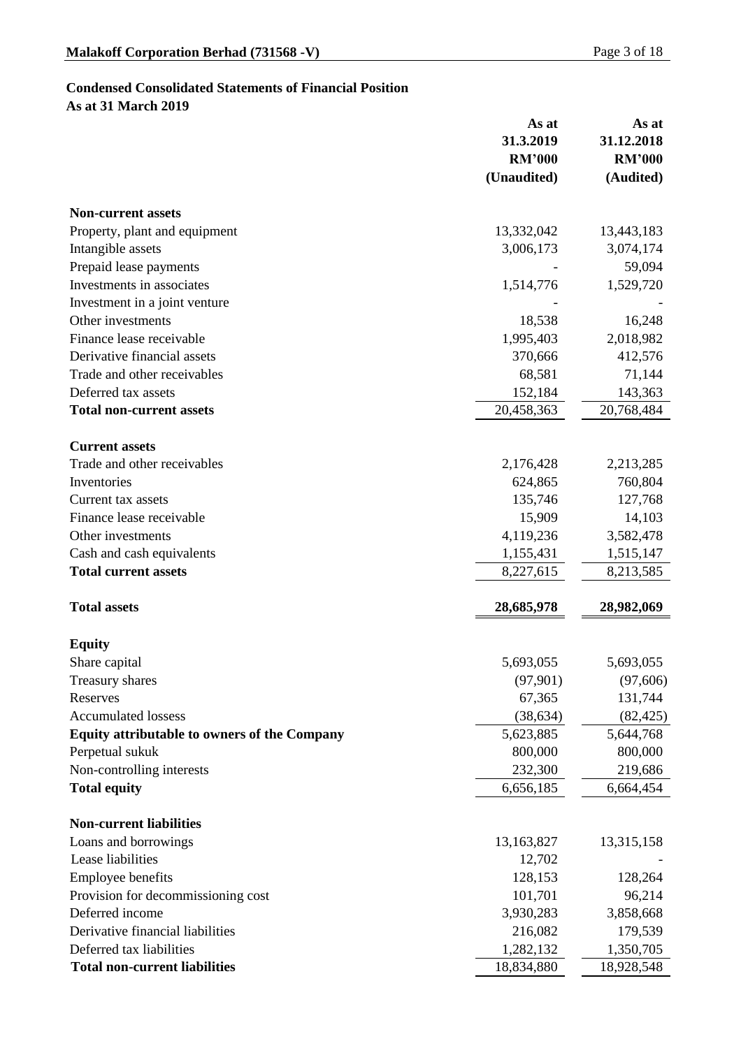# **Condensed Consolidated Statements of Financial Position**

**As at 31 March 2019**

|                                                     | As at<br>31.3.2019<br><b>RM'000</b><br>(Unaudited) | As at<br>31.12.2018<br><b>RM'000</b><br>(Audited) |
|-----------------------------------------------------|----------------------------------------------------|---------------------------------------------------|
| <b>Non-current assets</b>                           |                                                    |                                                   |
| Property, plant and equipment                       | 13,332,042                                         | 13,443,183                                        |
| Intangible assets                                   | 3,006,173                                          | 3,074,174                                         |
| Prepaid lease payments                              |                                                    | 59,094                                            |
| Investments in associates                           | 1,514,776                                          | 1,529,720                                         |
| Investment in a joint venture                       |                                                    |                                                   |
| Other investments                                   | 18,538                                             | 16,248                                            |
| Finance lease receivable                            | 1,995,403                                          | 2,018,982                                         |
| Derivative financial assets                         | 370,666                                            | 412,576                                           |
| Trade and other receivables                         | 68,581                                             | 71,144                                            |
| Deferred tax assets                                 | 152,184                                            | 143,363                                           |
| <b>Total non-current assets</b>                     | 20,458,363                                         | 20,768,484                                        |
| <b>Current assets</b>                               |                                                    |                                                   |
| Trade and other receivables                         | 2,176,428                                          | 2,213,285                                         |
| Inventories                                         | 624,865                                            | 760,804                                           |
| Current tax assets                                  | 135,746                                            | 127,768                                           |
| Finance lease receivable                            | 15,909                                             | 14,103                                            |
| Other investments                                   | 4,119,236                                          | 3,582,478                                         |
| Cash and cash equivalents                           | 1,155,431                                          | 1,515,147                                         |
| <b>Total current assets</b>                         | 8,227,615                                          | 8,213,585                                         |
| <b>Total assets</b>                                 | 28,685,978                                         | 28,982,069                                        |
| <b>Equity</b>                                       |                                                    |                                                   |
| Share capital                                       | 5,693,055                                          | 5,693,055                                         |
| <b>Treasury shares</b>                              | (97,901)                                           | (97,606)                                          |
| Reserves                                            | 67,365                                             | 131,744                                           |
| <b>Accumulated lossess</b>                          | (38, 634)                                          | (82, 425)                                         |
| <b>Equity attributable to owners of the Company</b> | 5,623,885                                          | 5,644,768                                         |
| Perpetual sukuk                                     | 800,000                                            | 800,000                                           |
| Non-controlling interests                           | 232,300                                            | 219,686                                           |
| <b>Total equity</b>                                 | 6,656,185                                          | 6,664,454                                         |
| <b>Non-current liabilities</b>                      |                                                    |                                                   |
| Loans and borrowings                                | 13,163,827                                         | 13,315,158                                        |
| Lease liabilities                                   | 12,702                                             |                                                   |
| <b>Employee benefits</b>                            | 128,153                                            | 128,264                                           |
| Provision for decommissioning cost                  | 101,701                                            | 96,214                                            |
| Deferred income                                     | 3,930,283                                          | 3,858,668                                         |
| Derivative financial liabilities                    | 216,082                                            | 179,539                                           |
| Deferred tax liabilities                            | 1,282,132                                          | 1,350,705                                         |
| <b>Total non-current liabilities</b>                | 18,834,880                                         | 18,928,548                                        |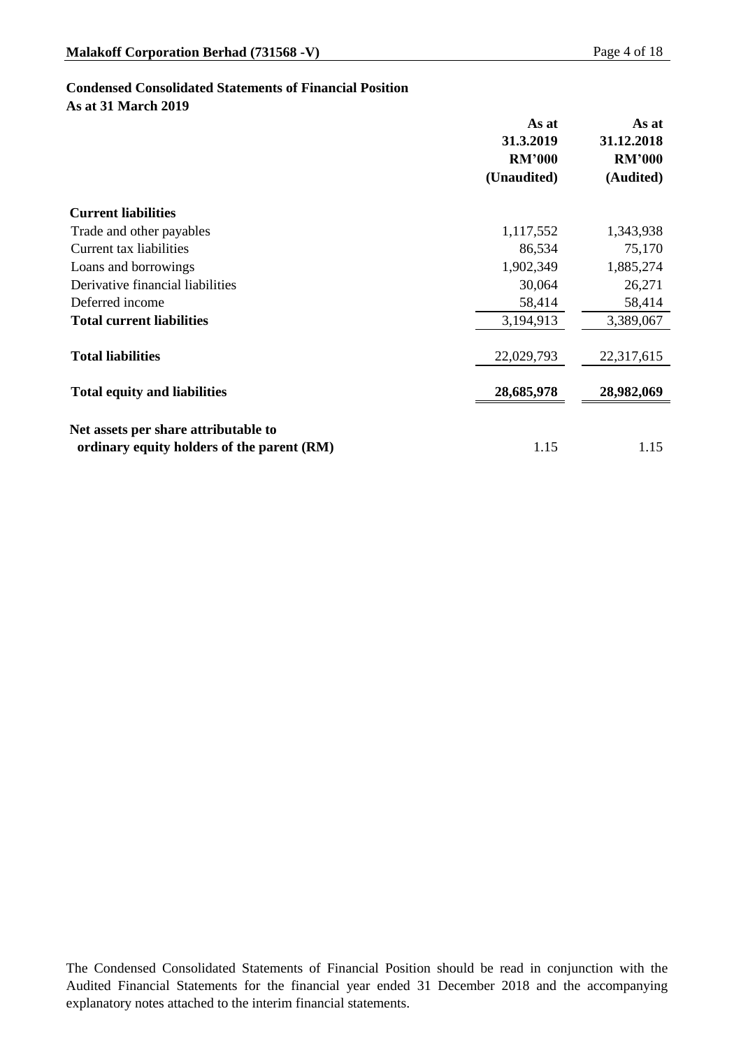# **Condensed Consolidated Statements of Financial Position**

**As at 31 March 2019**

|                                            | As at<br>31.3.2019<br><b>RM'000</b><br>(Unaudited) | As at<br>31.12.2018<br><b>RM'000</b><br>(Audited) |
|--------------------------------------------|----------------------------------------------------|---------------------------------------------------|
| <b>Current liabilities</b>                 |                                                    |                                                   |
| Trade and other payables                   | 1,117,552                                          | 1,343,938                                         |
| <b>Current tax liabilities</b>             | 86,534                                             | 75,170                                            |
| Loans and borrowings                       | 1,902,349                                          | 1,885,274                                         |
| Derivative financial liabilities           | 30,064                                             | 26,271                                            |
| Deferred income                            | 58,414                                             | 58,414                                            |
| <b>Total current liabilities</b>           | 3,194,913                                          | 3,389,067                                         |
| <b>Total liabilities</b>                   | 22,029,793                                         | 22,317,615                                        |
| <b>Total equity and liabilities</b>        | 28,685,978                                         | 28,982,069                                        |
| Net assets per share attributable to       |                                                    |                                                   |
| ordinary equity holders of the parent (RM) | 1.15                                               | 1.15                                              |

The Condensed Consolidated Statements of Financial Position should be read in conjunction with the Audited Financial Statements for the financial year ended 31 December 2018 and the accompanying explanatory notes attached to the interim financial statements.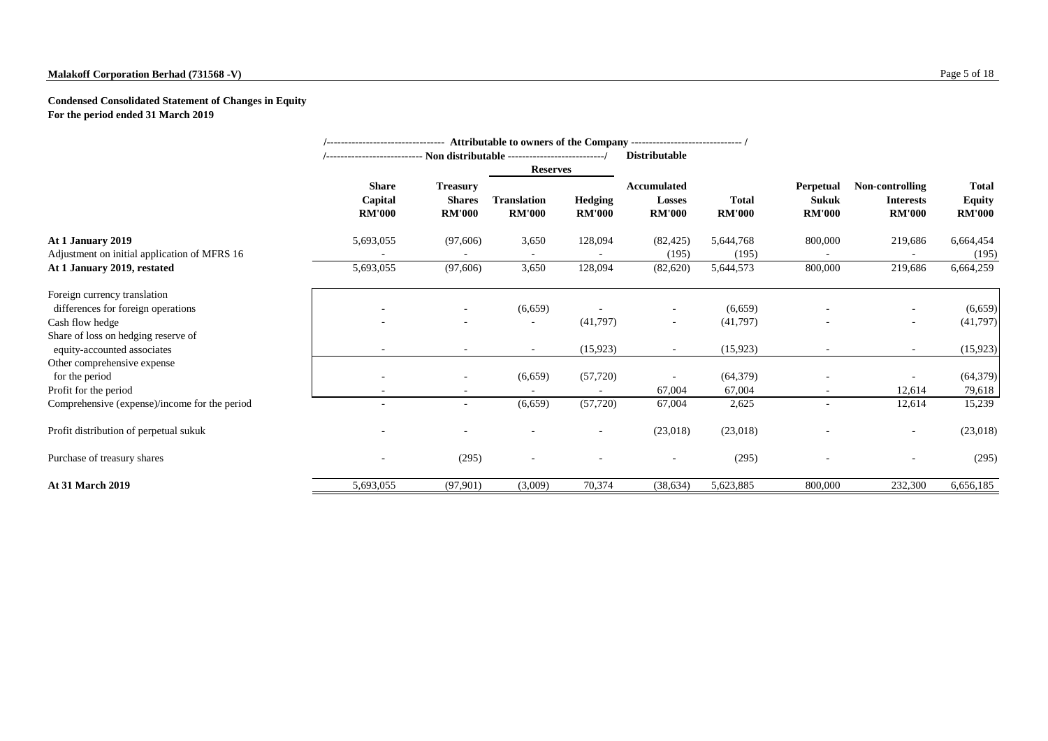# **Malakoff Corporation Berhad (731568 -V)** Page 5 of 18

**Condensed Consolidated Statement of Changes in Equity For the period ended 31 March 2019**

|                                                                                       |                                          |                                                   |                                     |                                 | <b>Distributable</b>                                 |                               |                                                   |                                                      |                                                |
|---------------------------------------------------------------------------------------|------------------------------------------|---------------------------------------------------|-------------------------------------|---------------------------------|------------------------------------------------------|-------------------------------|---------------------------------------------------|------------------------------------------------------|------------------------------------------------|
|                                                                                       |                                          |                                                   | <b>Reserves</b>                     |                                 |                                                      |                               |                                                   |                                                      |                                                |
|                                                                                       | <b>Share</b><br>Capital<br><b>RM'000</b> | <b>Treasury</b><br><b>Shares</b><br><b>RM'000</b> | <b>Translation</b><br><b>RM'000</b> | <b>Hedging</b><br><b>RM'000</b> | <b>Accumulated</b><br><b>Losses</b><br><b>RM'000</b> | <b>Total</b><br><b>RM'000</b> | <b>Perpetual</b><br><b>Sukuk</b><br><b>RM'000</b> | Non-controlling<br><b>Interests</b><br><b>RM'000</b> | <b>Total</b><br><b>Equity</b><br><b>RM'000</b> |
| At 1 January 2019<br>Adjustment on initial application of MFRS 16                     | 5,693,055                                | (97,606)                                          | 3,650                               | 128,094                         | (82, 425)<br>(195)                                   | 5,644,768<br>(195)            | 800,000                                           | 219,686                                              | 6,664,454<br>(195)                             |
| At 1 January 2019, restated                                                           | 5,693,055                                | (97,606)                                          | 3,650                               | 128,094                         | (82,620)                                             | 5,644,573                     | 800,000                                           | 219,686                                              | 6,664,259                                      |
| Foreign currency translation<br>differences for foreign operations<br>Cash flow hedge |                                          |                                                   | (6,659)                             | (41,797)                        | $\sim$                                               | (6,659)<br>(41,797)           |                                                   |                                                      | (6,659)<br>(41,797)                            |
| Share of loss on hedging reserve of<br>equity-accounted associates                    | $\blacksquare$                           | $\overline{\phantom{0}}$                          | $\sim$                              | (15, 923)                       | $\sim$                                               | (15, 923)                     |                                                   | $\sim$                                               | (15, 923)                                      |
| Other comprehensive expense<br>for the period<br>Profit for the period                |                                          | $\overline{\phantom{a}}$                          | (6,659)                             | (57, 720)                       | 67,004                                               | (64, 379)<br>67,004           |                                                   | 12,614                                               | (64, 379)<br>79,618                            |
| Comprehensive (expense)/income for the period                                         |                                          | $\overline{\phantom{0}}$                          | (6,659)                             | (57, 720)                       | 67,004                                               | 2,625                         |                                                   | 12,614                                               | 15,239                                         |
| Profit distribution of perpetual sukuk                                                |                                          |                                                   |                                     |                                 | (23,018)                                             | (23,018)                      |                                                   | $\sim$                                               | (23,018)                                       |
| Purchase of treasury shares                                                           |                                          | (295)                                             |                                     |                                 | $\overline{\phantom{a}}$                             | (295)                         |                                                   |                                                      | (295)                                          |
| <b>At 31 March 2019</b>                                                               | 5,693,055                                | (97,901)                                          | (3,009)                             | 70,374                          | (38, 634)                                            | 5,623,885                     | 800,000                                           | 232,300                                              | 6,656,185                                      |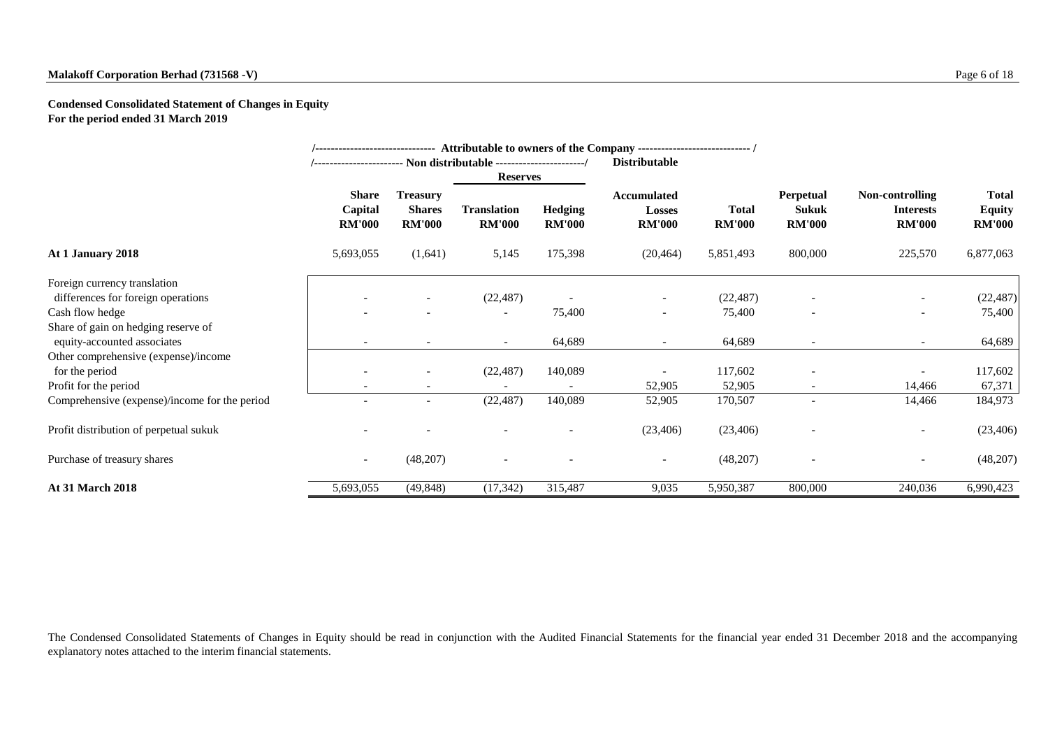# **Malakoff Corporation Berhad (731568 -V)** Page 6 of 18

**Condensed Consolidated Statement of Changes in Equity For the period ended 31 March 2019**

|                                               |                                          |                                                   |                                     |                                 | /------------------------------ Attributable to owners of the Company ----------------------------- /<br><b>Distributable</b> |                               |                                                   |                                                      |                                                |
|-----------------------------------------------|------------------------------------------|---------------------------------------------------|-------------------------------------|---------------------------------|-------------------------------------------------------------------------------------------------------------------------------|-------------------------------|---------------------------------------------------|------------------------------------------------------|------------------------------------------------|
|                                               |                                          |                                                   | <b>Reserves</b>                     |                                 |                                                                                                                               |                               |                                                   |                                                      |                                                |
|                                               | <b>Share</b><br>Capital<br><b>RM'000</b> | <b>Treasury</b><br><b>Shares</b><br><b>RM'000</b> | <b>Translation</b><br><b>RM'000</b> | <b>Hedging</b><br><b>RM'000</b> | <b>Accumulated</b><br><b>Losses</b><br><b>RM'000</b>                                                                          | <b>Total</b><br><b>RM'000</b> | <b>Perpetual</b><br><b>Sukuk</b><br><b>RM'000</b> | Non-controlling<br><b>Interests</b><br><b>RM'000</b> | <b>Total</b><br><b>Equity</b><br><b>RM'000</b> |
| At 1 January 2018                             | 5,693,055                                | (1,641)                                           | 5,145                               | 175,398                         | (20, 464)                                                                                                                     | 5,851,493                     | 800,000                                           | 225,570                                              | 6,877,063                                      |
| Foreign currency translation                  |                                          |                                                   |                                     |                                 |                                                                                                                               |                               |                                                   |                                                      |                                                |
| differences for foreign operations            |                                          |                                                   | (22, 487)                           |                                 | $\overline{\phantom{a}}$                                                                                                      | (22, 487)                     |                                                   | $\sim$                                               | (22, 487)                                      |
| Cash flow hedge                               |                                          |                                                   |                                     | 75,400                          | $\sim$                                                                                                                        | 75,400                        | $\overline{\phantom{a}}$                          | $\overline{\phantom{a}}$                             | 75,400                                         |
| Share of gain on hedging reserve of           |                                          |                                                   |                                     |                                 |                                                                                                                               |                               |                                                   |                                                      |                                                |
| equity-accounted associates                   | $\sim$                                   | $\overline{\phantom{a}}$                          | $\sim$                              | 64,689                          | $\sim$                                                                                                                        | 64,689                        | $\overline{\phantom{a}}$                          | $\overline{\phantom{a}}$                             | 64,689                                         |
| Other comprehensive (expense)/income          |                                          |                                                   |                                     |                                 |                                                                                                                               |                               |                                                   |                                                      |                                                |
| for the period                                |                                          |                                                   | (22, 487)                           | 140,089                         |                                                                                                                               | 117,602                       |                                                   | $\overline{\phantom{a}}$                             | 117,602                                        |
| Profit for the period                         |                                          |                                                   |                                     |                                 | 52,905                                                                                                                        | 52,905                        |                                                   | 14,466                                               | 67,371                                         |
| Comprehensive (expense)/income for the period |                                          |                                                   | (22, 487)                           | 140,089                         | 52,905                                                                                                                        | 170,507                       |                                                   | 14,466                                               | 184,973                                        |
| Profit distribution of perpetual sukuk        |                                          |                                                   |                                     |                                 | (23, 406)                                                                                                                     | (23, 406)                     |                                                   | $\overline{\phantom{a}}$                             | (23, 406)                                      |
| Purchase of treasury shares                   | $\overline{\phantom{a}}$                 | (48,207)                                          |                                     |                                 |                                                                                                                               | (48,207)                      |                                                   | $\overline{\phantom{a}}$                             | (48,207)                                       |
| <b>At 31 March 2018</b>                       | 5,693,055                                | (49, 848)                                         | (17, 342)                           | 315,487                         | 9,035                                                                                                                         | 5,950,387                     | 800,000                                           | 240,036                                              | 6,990,423                                      |

The Condensed Consolidated Statements of Changes in Equity should be read in conjunction with the Audited Financial Statements for the financial year ended 31 December 2018 and the accompanying explanatory notes attached to the interim financial statements.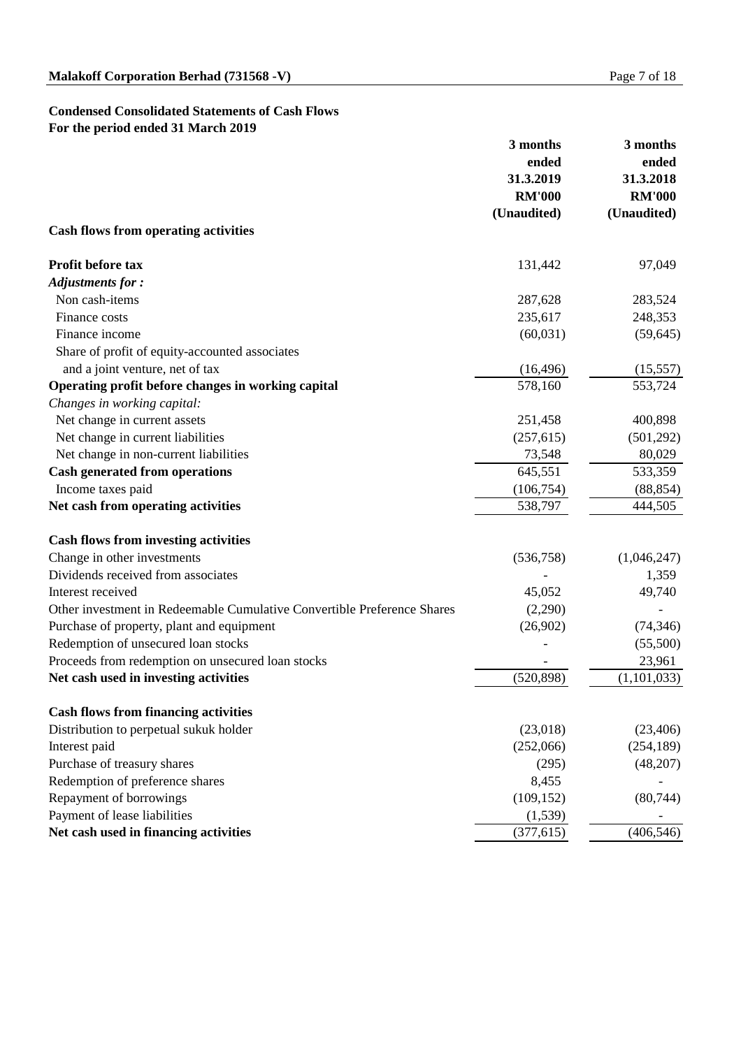# **Condensed Consolidated Statements of Cash Flows For the period ended 31 March 2019**

|                                                                         | 3 months<br>ended          | 3 months<br>ended          |  |
|-------------------------------------------------------------------------|----------------------------|----------------------------|--|
|                                                                         | 31.3.2019<br><b>RM'000</b> | 31.3.2018<br><b>RM'000</b> |  |
|                                                                         | (Unaudited)                | (Unaudited)                |  |
| <b>Cash flows from operating activities</b>                             |                            |                            |  |
| <b>Profit before tax</b>                                                | 131,442                    | 97,049                     |  |
| <b>Adjustments for:</b>                                                 |                            |                            |  |
| Non cash-items                                                          | 287,628                    | 283,524                    |  |
| Finance costs                                                           | 235,617                    | 248,353                    |  |
| Finance income                                                          | (60,031)                   | (59, 645)                  |  |
| Share of profit of equity-accounted associates                          |                            |                            |  |
| and a joint venture, net of tax                                         | (16, 496)                  | (15, 557)                  |  |
| Operating profit before changes in working capital                      | 578,160                    | 553,724                    |  |
| Changes in working capital:                                             |                            |                            |  |
| Net change in current assets                                            | 251,458                    | 400,898                    |  |
| Net change in current liabilities                                       | (257, 615)                 | (501, 292)                 |  |
| Net change in non-current liabilities                                   | 73,548                     | 80,029                     |  |
| <b>Cash generated from operations</b>                                   | 645,551                    | 533,359                    |  |
| Income taxes paid                                                       | (106, 754)                 | (88, 854)                  |  |
| Net cash from operating activities                                      | 538,797                    | 444,505                    |  |
| <b>Cash flows from investing activities</b>                             |                            |                            |  |
| Change in other investments                                             | (536,758)                  | (1,046,247)                |  |
| Dividends received from associates                                      |                            | 1,359                      |  |
| Interest received                                                       | 45,052                     | 49,740                     |  |
| Other investment in Redeemable Cumulative Convertible Preference Shares | (2,290)                    |                            |  |
| Purchase of property, plant and equipment                               | (26,902)                   | (74, 346)                  |  |
| Redemption of unsecured loan stocks                                     |                            | (55,500)                   |  |
| Proceeds from redemption on unsecured loan stocks                       |                            | 23,961                     |  |
| Net cash used in investing activities                                   | (520, 898)                 | (1,101,033)                |  |
| <b>Cash flows from financing activities</b>                             |                            |                            |  |
| Distribution to perpetual sukuk holder                                  | (23,018)                   | (23,406)                   |  |
| Interest paid                                                           | (252,066)                  | (254, 189)                 |  |
| Purchase of treasury shares                                             | (295)                      | (48,207)                   |  |
| Redemption of preference shares                                         | 8,455                      |                            |  |
| Repayment of borrowings                                                 | (109, 152)                 | (80, 744)                  |  |
| Payment of lease liabilities                                            | (1,539)                    |                            |  |
| Net cash used in financing activities                                   | (377, 615)                 | (406, 546)                 |  |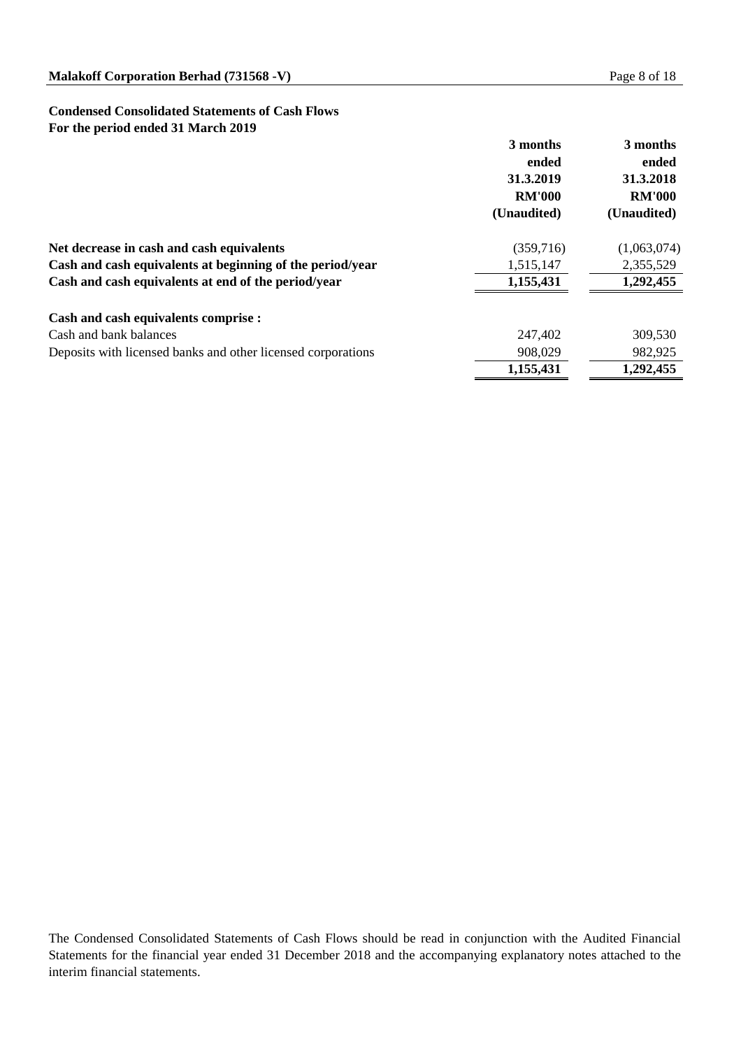# **Condensed Consolidated Statements of Cash Flows For the period ended 31 March 2019**

|                                                              | 3 months<br>ended<br>31.3.2019<br><b>RM'000</b> | 3 months<br>ended<br>31.3.2018<br><b>RM'000</b> |
|--------------------------------------------------------------|-------------------------------------------------|-------------------------------------------------|
|                                                              | (Unaudited)                                     | (Unaudited)                                     |
| Net decrease in cash and cash equivalents                    | (359,716)                                       | (1,063,074)                                     |
| Cash and cash equivalents at beginning of the period/year    | 1,515,147                                       | 2,355,529                                       |
| Cash and cash equivalents at end of the period/year          | 1,155,431                                       | 1,292,455                                       |
| <b>Cash and cash equivalents comprise :</b>                  |                                                 |                                                 |
| Cash and bank balances                                       | 247,402                                         | 309,530                                         |
| Deposits with licensed banks and other licensed corporations | 908,029                                         | 982,925                                         |
|                                                              | 1,155,431                                       | 1,292,455                                       |

The Condensed Consolidated Statements of Cash Flows should be read in conjunction with the Audited Financial Statements for the financial year ended 31 December 2018 and the accompanying explanatory notes attached to the interim financial statements.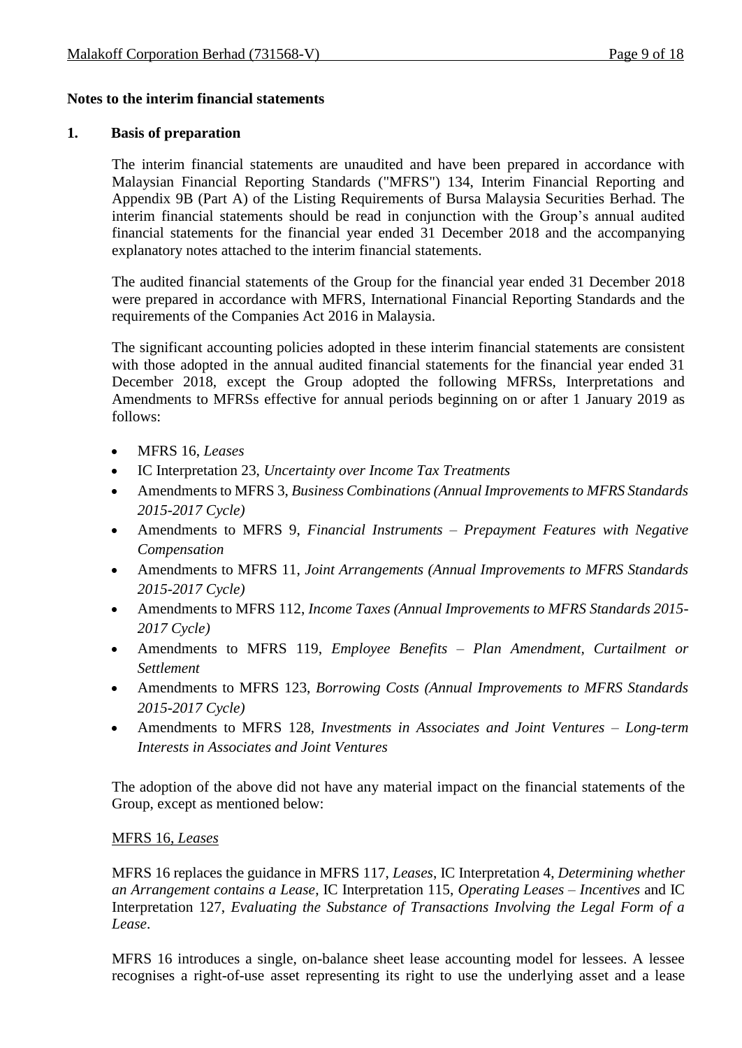# **Notes to the interim financial statements**

# **1. Basis of preparation**

The interim financial statements are unaudited and have been prepared in accordance with Malaysian Financial Reporting Standards ("MFRS") 134, Interim Financial Reporting and Appendix 9B (Part A) of the Listing Requirements of Bursa Malaysia Securities Berhad. The interim financial statements should be read in conjunction with the Group's annual audited financial statements for the financial year ended 31 December 2018 and the accompanying explanatory notes attached to the interim financial statements.

The audited financial statements of the Group for the financial year ended 31 December 2018 were prepared in accordance with MFRS, International Financial Reporting Standards and the requirements of the Companies Act 2016 in Malaysia.

The significant accounting policies adopted in these interim financial statements are consistent with those adopted in the annual audited financial statements for the financial year ended 31 December 2018, except the Group adopted the following MFRSs, Interpretations and Amendments to MFRSs effective for annual periods beginning on or after 1 January 2019 as follows:

- MFRS 16, *Leases*
- IC Interpretation 23, *Uncertainty over Income Tax Treatments*
- Amendments to MFRS 3, *Business Combinations (Annual Improvements to MFRS Standards 2015-2017 Cycle)*
- Amendments to MFRS 9, *Financial Instruments – Prepayment Features with Negative Compensation*
- Amendments to MFRS 11, *Joint Arrangements (Annual Improvements to MFRS Standards 2015-2017 Cycle)*
- Amendments to MFRS 112, *Income Taxes (Annual Improvements to MFRS Standards 2015- 2017 Cycle)*
- Amendments to MFRS 119, *Employee Benefits – Plan Amendment, Curtailment or Settlement*
- Amendments to MFRS 123, *Borrowing Costs (Annual Improvements to MFRS Standards 2015-2017 Cycle)*
- Amendments to MFRS 128, *Investments in Associates and Joint Ventures – Long-term Interests in Associates and Joint Ventures*

The adoption of the above did not have any material impact on the financial statements of the Group, except as mentioned below:

# MFRS 16, *Leases*

MFRS 16 replaces the guidance in MFRS 117, *Leases*, IC Interpretation 4, *Determining whether an Arrangement contains a Lease*, IC Interpretation 115, *Operating Leases – Incentives* and IC Interpretation 127, *Evaluating the Substance of Transactions Involving the Legal Form of a Lease*.

MFRS 16 introduces a single, on-balance sheet lease accounting model for lessees. A lessee recognises a right-of-use asset representing its right to use the underlying asset and a lease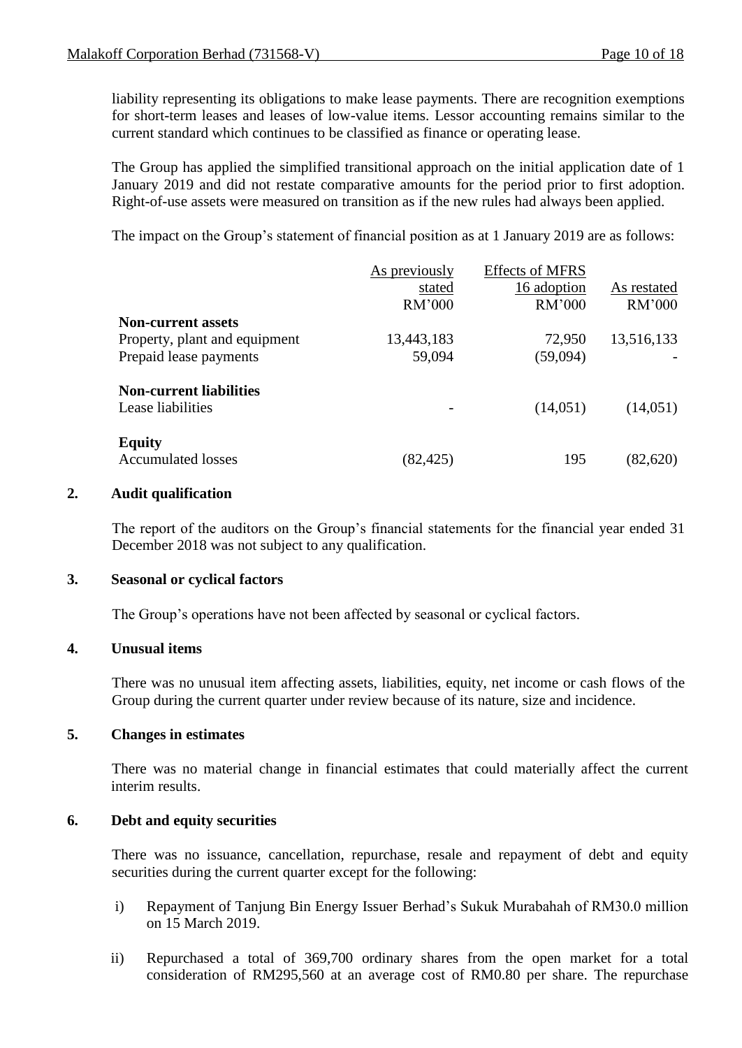liability representing its obligations to make lease payments. There are recognition exemptions for short-term leases and leases of low-value items. Lessor accounting remains similar to the current standard which continues to be classified as finance or operating lease.

The Group has applied the simplified transitional approach on the initial application date of 1 January 2019 and did not restate comparative amounts for the period prior to first adoption. Right-of-use assets were measured on transition as if the new rules had always been applied.

The impact on the Group's statement of financial position as at 1 January 2019 are as follows:

|                                | As previously | <b>Effects of MFRS</b> |             |
|--------------------------------|---------------|------------------------|-------------|
|                                | stated        | 16 adoption            | As restated |
|                                | RM'000        | RM'000                 | RM'000      |
| <b>Non-current assets</b>      |               |                        |             |
| Property, plant and equipment  | 13,443,183    | 72,950                 | 13,516,133  |
| Prepaid lease payments         | 59,094        | (59,094)               |             |
| <b>Non-current liabilities</b> |               |                        |             |
| Lease liabilities              |               | (14,051)               | (14,051)    |
| <b>Equity</b>                  |               |                        |             |
| <b>Accumulated losses</b>      | (82, 425)     | 195                    | (82, 620)   |

### **2. Audit qualification**

The report of the auditors on the Group's financial statements for the financial year ended 31 December 2018 was not subject to any qualification.

### **3. Seasonal or cyclical factors**

The Group's operations have not been affected by seasonal or cyclical factors.

### **4. Unusual items**

There was no unusual item affecting assets, liabilities, equity, net income or cash flows of the Group during the current quarter under review because of its nature, size and incidence.

# **5. Changes in estimates**

There was no material change in financial estimates that could materially affect the current interim results.

# **6. Debt and equity securities**

There was no issuance, cancellation, repurchase, resale and repayment of debt and equity securities during the current quarter except for the following:

- i) Repayment of Tanjung Bin Energy Issuer Berhad's Sukuk Murabahah of RM30.0 million on 15 March 2019.
- ii) Repurchased a total of 369,700 ordinary shares from the open market for a total consideration of RM295,560 at an average cost of RM0.80 per share. The repurchase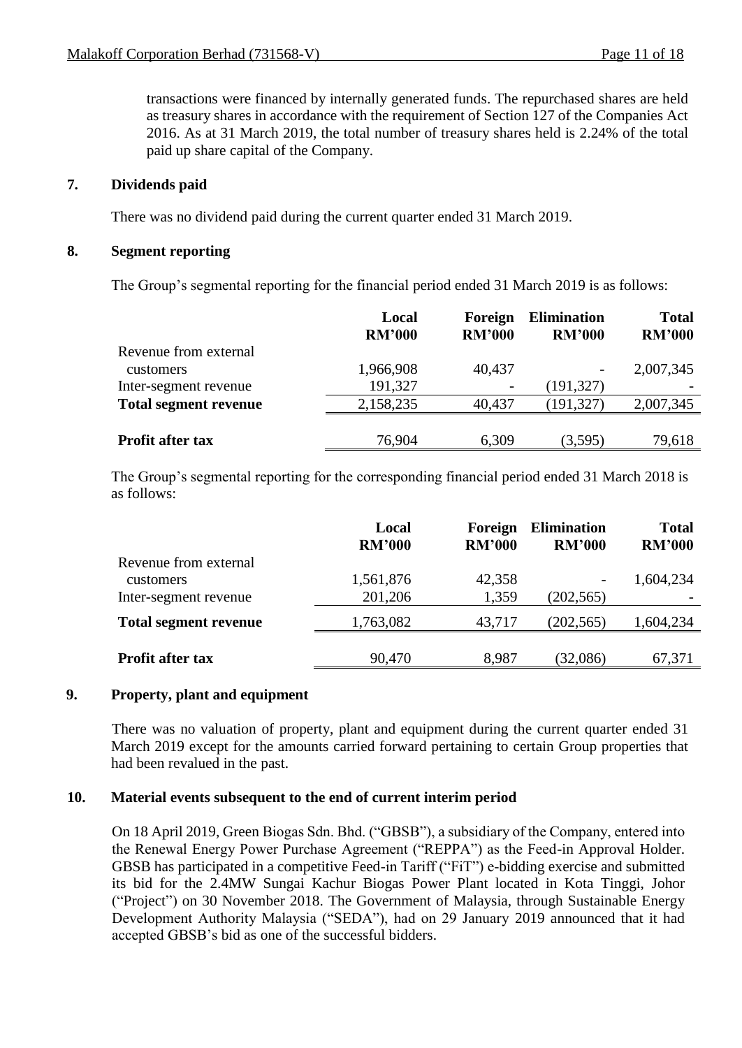transactions were financed by internally generated funds. The repurchased shares are held as treasury shares in accordance with the requirement of Section 127 of the Companies Act 2016. As at 31 March 2019, the total number of treasury shares held is 2.24% of the total paid up share capital of the Company.

# **7. Dividends paid**

There was no dividend paid during the current quarter ended 31 March 2019.

### **8. Segment reporting**

The Group's segmental reporting for the financial period ended 31 March 2019 is as follows:

|                              | Local<br><b>RM'000</b> | Foreign<br><b>RM'000</b> | <b>Elimination</b><br><b>RM'000</b> | <b>Total</b><br><b>RM'000</b> |
|------------------------------|------------------------|--------------------------|-------------------------------------|-------------------------------|
| Revenue from external        |                        |                          |                                     |                               |
| customers                    | 1,966,908              | 40,437                   |                                     | 2,007,345                     |
| Inter-segment revenue        | 191,327                | $\overline{\phantom{a}}$ | (191, 327)                          |                               |
| <b>Total segment revenue</b> | 2,158,235              | 40,437                   | (191, 327)                          | 2,007,345                     |
|                              |                        |                          |                                     |                               |
| <b>Profit after tax</b>      | 76,904                 | 6,309                    | (3,595)                             | 79,618                        |

The Group's segmental reporting for the corresponding financial period ended 31 March 2018 is as follows:

|                                           | Local<br><b>RM'000</b> | Foreign<br><b>RM'000</b> | <b>Elimination</b><br><b>RM'000</b> | <b>Total</b><br><b>RM'000</b> |
|-------------------------------------------|------------------------|--------------------------|-------------------------------------|-------------------------------|
| Revenue from external<br><b>customers</b> | 1,561,876              | 42,358                   | $\overline{\phantom{a}}$            | 1,604,234                     |
| Inter-segment revenue                     | 201,206                | 1,359                    | (202, 565)                          |                               |
| <b>Total segment revenue</b>              | 1,763,082              | 43,717                   | (202, 565)                          | 1,604,234                     |
| <b>Profit after tax</b>                   | 90,470                 | 8,987                    | (32,086)                            | 67,371                        |

# **9. Property, plant and equipment**

There was no valuation of property, plant and equipment during the current quarter ended 31 March 2019 except for the amounts carried forward pertaining to certain Group properties that had been revalued in the past.

### **10. Material events subsequent to the end of current interim period**

On 18 April 2019, Green Biogas Sdn. Bhd. ("GBSB"), a subsidiary of the Company, entered into the Renewal Energy Power Purchase Agreement ("REPPA") as the Feed-in Approval Holder. GBSB has participated in a competitive Feed-in Tariff ("FiT") e-bidding exercise and submitted its bid for the 2.4MW Sungai Kachur Biogas Power Plant located in Kota Tinggi, Johor ("Project") on 30 November 2018. The Government of Malaysia, through Sustainable Energy Development Authority Malaysia ("SEDA"), had on 29 January 2019 announced that it had accepted GBSB's bid as one of the successful bidders.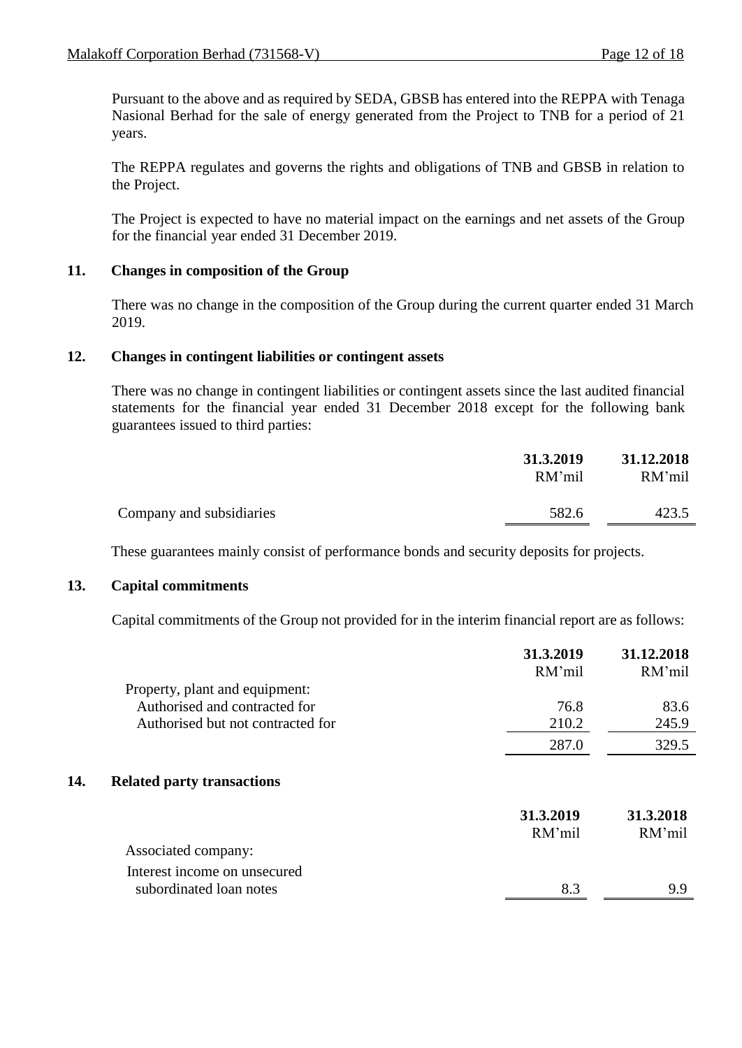Pursuant to the above and as required by SEDA, GBSB has entered into the REPPA with Tenaga Nasional Berhad for the sale of energy generated from the Project to TNB for a period of 21 years.

The REPPA regulates and governs the rights and obligations of TNB and GBSB in relation to the Project.

The Project is expected to have no material impact on the earnings and net assets of the Group for the financial year ended 31 December 2019.

# **11. Changes in composition of the Group**

There was no change in the composition of the Group during the current quarter ended 31 March 2019.

# **12. Changes in contingent liabilities or contingent assets**

There was no change in contingent liabilities or contingent assets since the last audited financial statements for the financial year ended 31 December 2018 except for the following bank guarantees issued to third parties:

|                          | 31.3.2019<br>RM'mil | 31.12.2018<br>RM'mil |
|--------------------------|---------------------|----------------------|
| Company and subsidiaries | 582.6               | 423.5                |

These guarantees mainly consist of performance bonds and security deposits for projects.

### **13. Capital commitments**

Capital commitments of the Group not provided for in the interim financial report are as follows:

|     | Property, plant and equipment:                          | 31.3.2019<br>RM'mil | 31.12.2018<br>RM'mil |
|-----|---------------------------------------------------------|---------------------|----------------------|
|     | Authorised and contracted for                           | 76.8                | 83.6                 |
|     | Authorised but not contracted for                       | 210.2               | 245.9                |
|     |                                                         | 287.0               | 329.5                |
| 14. | <b>Related party transactions</b>                       |                     |                      |
|     |                                                         | 31.3.2019           | 31.3.2018            |
|     |                                                         | RM'mil              | RM'mil               |
|     | Associated company:                                     |                     |                      |
|     | Interest income on unsecured<br>subordinated loan notes | 8.3                 | 99                   |
|     |                                                         |                     |                      |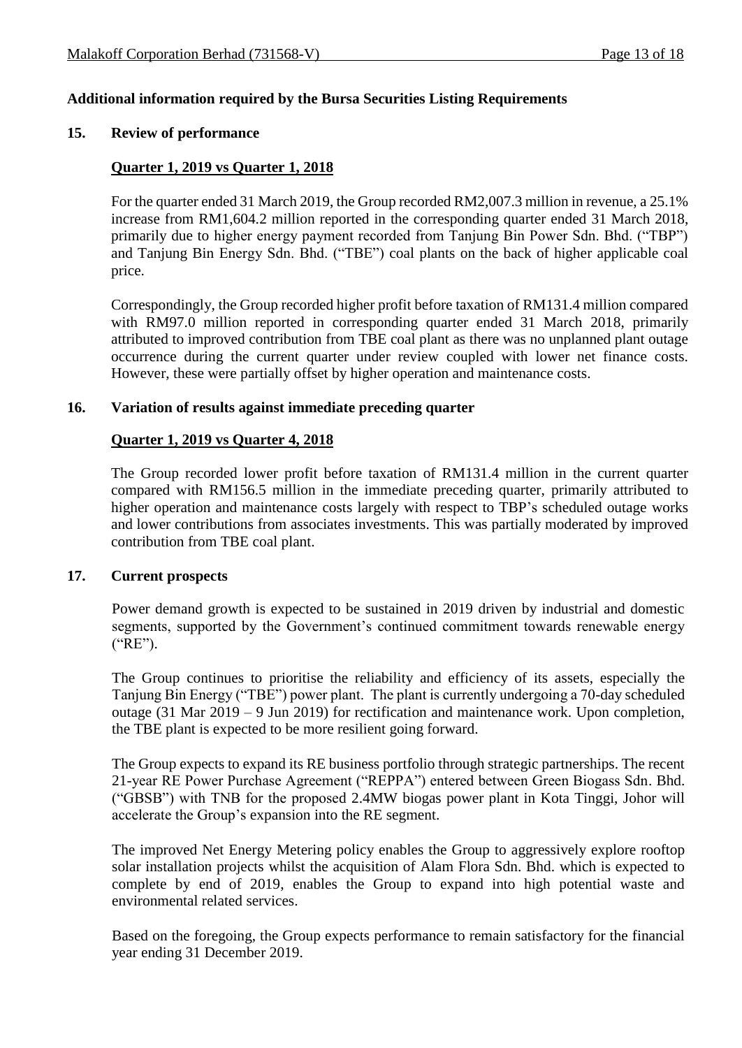# **Additional information required by the Bursa Securities Listing Requirements**

#### **15. Review of performance**

### **Quarter 1, 2019 vs Quarter 1, 2018**

For the quarter ended 31 March 2019, the Group recorded RM2,007.3 million in revenue, a 25.1% increase from RM1,604.2 million reported in the corresponding quarter ended 31 March 2018, primarily due to higher energy payment recorded from Tanjung Bin Power Sdn. Bhd. ("TBP") and Tanjung Bin Energy Sdn. Bhd. ("TBE") coal plants on the back of higher applicable coal price.

Correspondingly, the Group recorded higher profit before taxation of RM131.4 million compared with RM97.0 million reported in corresponding quarter ended 31 March 2018, primarily attributed to improved contribution from TBE coal plant as there was no unplanned plant outage occurrence during the current quarter under review coupled with lower net finance costs. However, these were partially offset by higher operation and maintenance costs.

#### **16. Variation of results against immediate preceding quarter**

#### **Quarter 1, 2019 vs Quarter 4, 2018**

The Group recorded lower profit before taxation of RM131.4 million in the current quarter compared with RM156.5 million in the immediate preceding quarter, primarily attributed to higher operation and maintenance costs largely with respect to TBP's scheduled outage works and lower contributions from associates investments. This was partially moderated by improved contribution from TBE coal plant.

### **17. Current prospects**

Power demand growth is expected to be sustained in 2019 driven by industrial and domestic segments, supported by the Government's continued commitment towards renewable energy ("RE").

The Group continues to prioritise the reliability and efficiency of its assets, especially the Tanjung Bin Energy ("TBE") power plant. The plant is currently undergoing a 70-day scheduled outage (31 Mar 2019 – 9 Jun 2019) for rectification and maintenance work. Upon completion, the TBE plant is expected to be more resilient going forward.

The Group expects to expand its RE business portfolio through strategic partnerships. The recent 21-year RE Power Purchase Agreement ("REPPA") entered between Green Biogass Sdn. Bhd. ("GBSB") with TNB for the proposed 2.4MW biogas power plant in Kota Tinggi, Johor will accelerate the Group's expansion into the RE segment.

The improved Net Energy Metering policy enables the Group to aggressively explore rooftop solar installation projects whilst the acquisition of Alam Flora Sdn. Bhd. which is expected to complete by end of 2019, enables the Group to expand into high potential waste and environmental related services.

Based on the foregoing, the Group expects performance to remain satisfactory for the financial year ending 31 December 2019.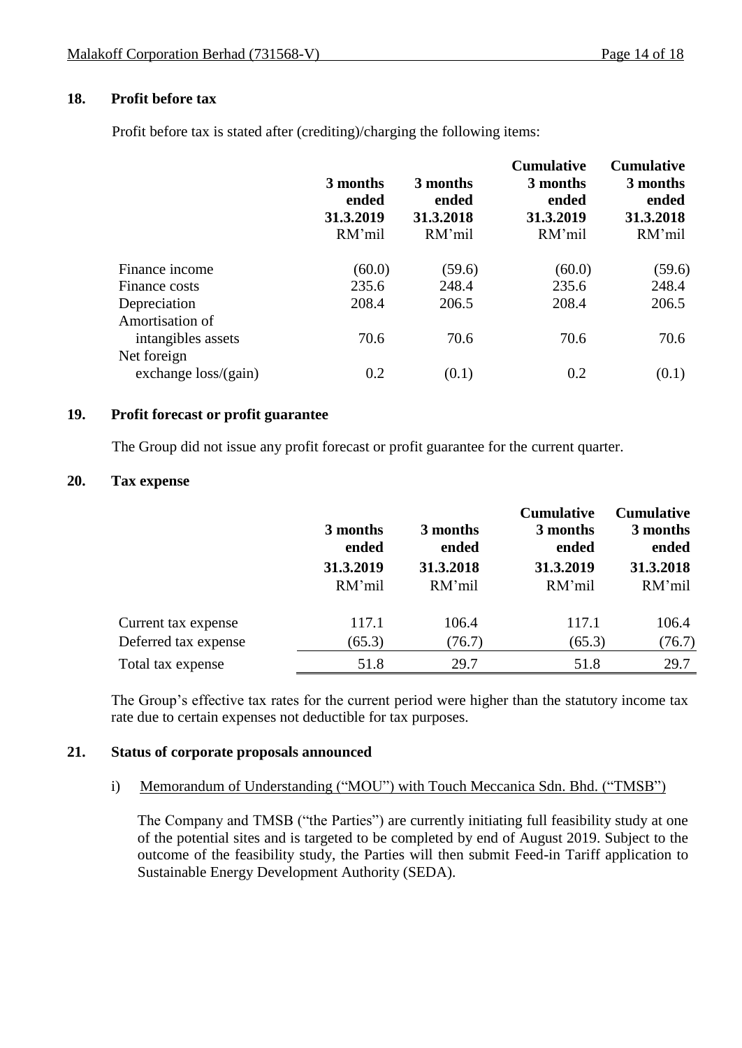# **18. Profit before tax**

Profit before tax is stated after (crediting)/charging the following items:

|                                       | 3 months<br>ended<br>31.3.2019<br>RM'mil | 3 months<br>ended<br>31.3.2018<br>RM'mil | <b>Cumulative</b><br>3 months<br>ended<br>31.3.2019<br>RM'mil | <b>Cumulative</b><br>3 months<br>ended<br>31.3.2018<br>RM'mil |
|---------------------------------------|------------------------------------------|------------------------------------------|---------------------------------------------------------------|---------------------------------------------------------------|
| Finance income                        | (60.0)                                   | (59.6)                                   | (60.0)                                                        | (59.6)                                                        |
| Finance costs                         | 235.6                                    | 248.4                                    | 235.6                                                         | 248.4                                                         |
| Depreciation                          | 208.4                                    | 206.5                                    | 208.4                                                         | 206.5                                                         |
| Amortisation of<br>intangibles assets | 70.6                                     | 70.6                                     | 70.6                                                          | 70.6                                                          |
| Net foreign<br>exchange $loss/(gain)$ | 0.2                                      | (0.1)                                    | 0.2                                                           | (0.1)                                                         |

## **19. Profit forecast or profit guarantee**

The Group did not issue any profit forecast or profit guarantee for the current quarter.

### **20. Tax expense**

|                      | 3 months<br>ended<br>31.3.2019<br>RM'mil | 3 months<br>ended<br>31.3.2018<br>RM'mil | <b>Cumulative</b><br>3 months<br>ended<br>31.3.2019<br>RM'mil | <b>Cumulative</b><br>3 months<br>ended<br>31.3.2018<br>RM'mil |
|----------------------|------------------------------------------|------------------------------------------|---------------------------------------------------------------|---------------------------------------------------------------|
| Current tax expense  | 117.1                                    | 106.4                                    | 117.1                                                         | 106.4                                                         |
| Deferred tax expense | (65.3)                                   | (76.7)                                   | (65.3)                                                        | (76.7)                                                        |
| Total tax expense    | 51.8                                     | 29.7                                     | 51.8                                                          | 29.7                                                          |

The Group's effective tax rates for the current period were higher than the statutory income tax rate due to certain expenses not deductible for tax purposes.

### **21. Status of corporate proposals announced**

#### i) Memorandum of Understanding ("MOU") with Touch Meccanica Sdn. Bhd. ("TMSB")

The Company and TMSB ("the Parties") are currently initiating full feasibility study at one of the potential sites and is targeted to be completed by end of August 2019. Subject to the outcome of the feasibility study, the Parties will then submit Feed-in Tariff application to Sustainable Energy Development Authority (SEDA).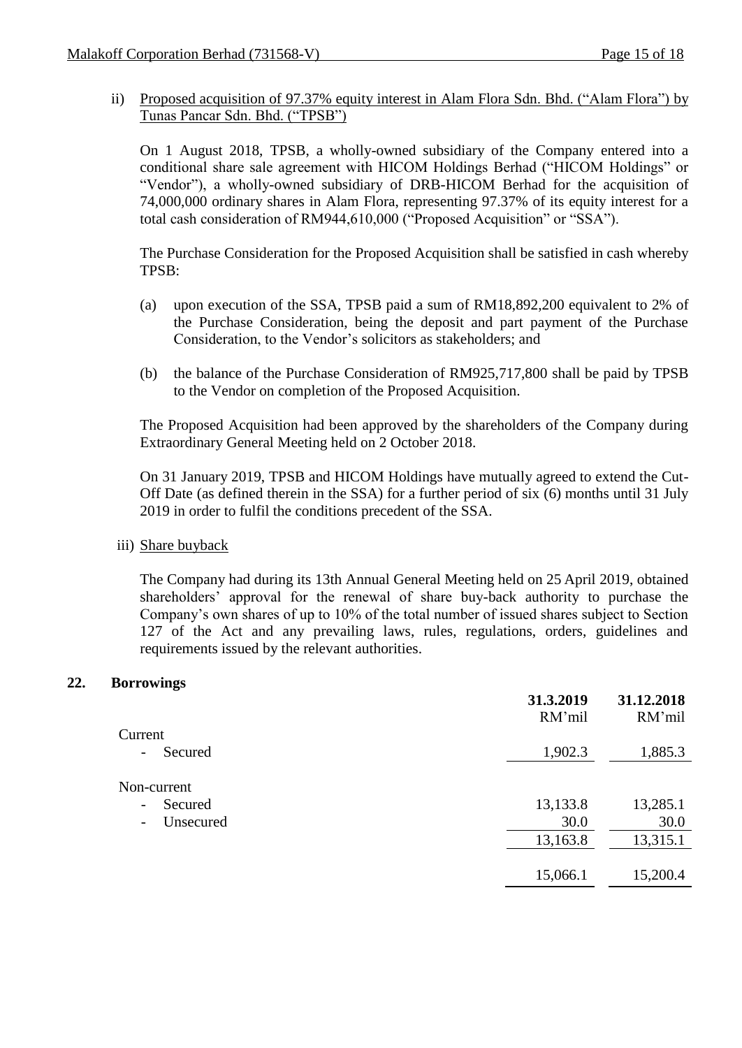ii) Proposed acquisition of 97.37% equity interest in Alam Flora Sdn. Bhd. ("Alam Flora") by Tunas Pancar Sdn. Bhd. ("TPSB")

On 1 August 2018, TPSB, a wholly-owned subsidiary of the Company entered into a conditional share sale agreement with HICOM Holdings Berhad ("HICOM Holdings" or "Vendor"), a wholly-owned subsidiary of DRB-HICOM Berhad for the acquisition of 74,000,000 ordinary shares in Alam Flora, representing 97.37% of its equity interest for a total cash consideration of RM944,610,000 ("Proposed Acquisition" or "SSA").

The Purchase Consideration for the Proposed Acquisition shall be satisfied in cash whereby TPSB:

- (a) upon execution of the SSA, TPSB paid a sum of RM18,892,200 equivalent to 2% of the Purchase Consideration, being the deposit and part payment of the Purchase Consideration, to the Vendor's solicitors as stakeholders; and
- (b) the balance of the Purchase Consideration of RM925,717,800 shall be paid by TPSB to the Vendor on completion of the Proposed Acquisition.

The Proposed Acquisition had been approved by the shareholders of the Company during Extraordinary General Meeting held on 2 October 2018.

On 31 January 2019, TPSB and HICOM Holdings have mutually agreed to extend the Cut-Off Date (as defined therein in the SSA) for a further period of six (6) months until 31 July 2019 in order to fulfil the conditions precedent of the SSA.

iii) Share buyback

The Company had during its 13th Annual General Meeting held on 25 April 2019, obtained shareholders' approval for the renewal of share buy-back authority to purchase the Company's own shares of up to 10% of the total number of issued shares subject to Section 127 of the Act and any prevailing laws, rules, regulations, orders, guidelines and requirements issued by the relevant authorities.

# **22. Borrowings**

|                                       | 31.3.2019<br>RM'mil | 31.12.2018<br>RM'mil |
|---------------------------------------|---------------------|----------------------|
| Current                               |                     |                      |
| Secured<br>$\overline{\phantom{a}}$   | 1,902.3             | 1,885.3              |
| Non-current                           |                     |                      |
| Secured<br>$\overline{\phantom{a}}$   | 13,133.8            | 13,285.1             |
| Unsecured<br>$\overline{\phantom{a}}$ | 30.0                | 30.0                 |
|                                       | 13,163.8            | 13,315.1             |
|                                       |                     |                      |
|                                       | 15,066.1            | 15,200.4             |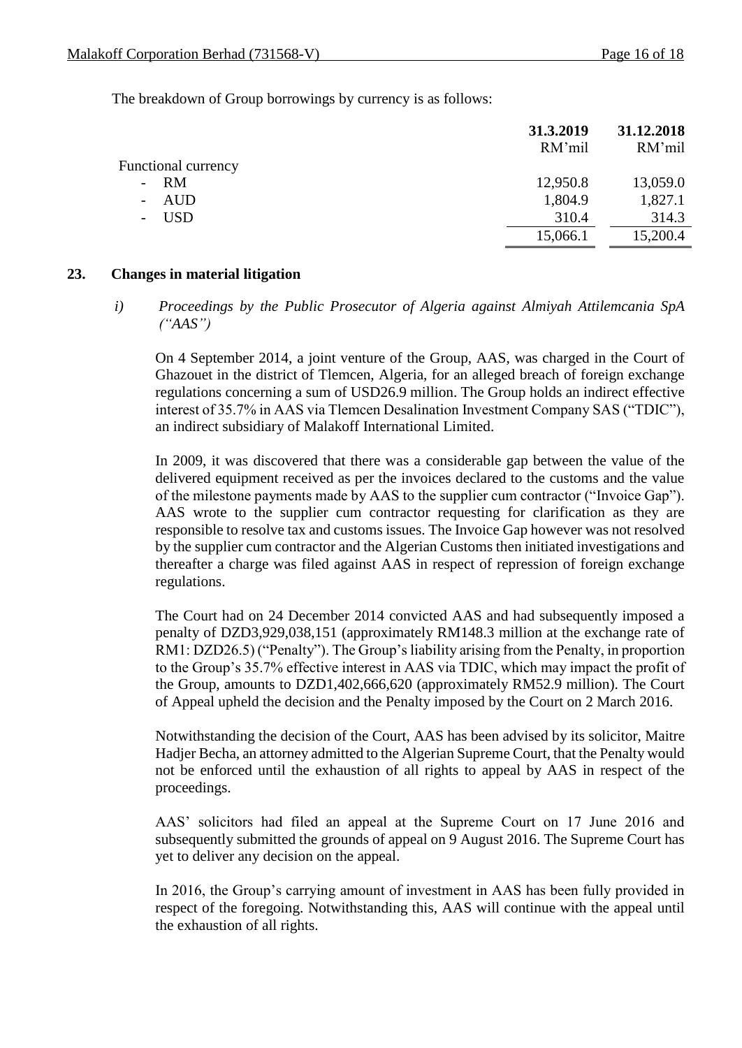The breakdown of Group borrowings by currency is as follows:

|                            | 31.3.2019<br>RM'mil | 31.12.2018<br>RM'mil |
|----------------------------|---------------------|----------------------|
| <b>Functional currency</b> |                     |                      |
| RM                         | 12,950.8            | 13,059.0             |
| AUD                        | 1,804.9             | 1,827.1              |
| <b>USD</b>                 | 310.4               | 314.3                |
|                            | 15,066.1            | 15,200.4             |

### **23. Changes in material litigation**

*i) Proceedings by the Public Prosecutor of Algeria against Almiyah Attilemcania SpA ("AAS")*

On 4 September 2014, a joint venture of the Group, AAS, was charged in the Court of Ghazouet in the district of Tlemcen, Algeria, for an alleged breach of foreign exchange regulations concerning a sum of USD26.9 million. The Group holds an indirect effective interest of 35.7% in AAS via Tlemcen Desalination Investment Company SAS ("TDIC"), an indirect subsidiary of Malakoff International Limited.

In 2009, it was discovered that there was a considerable gap between the value of the delivered equipment received as per the invoices declared to the customs and the value of the milestone payments made by AAS to the supplier cum contractor ("Invoice Gap"). AAS wrote to the supplier cum contractor requesting for clarification as they are responsible to resolve tax and customs issues. The Invoice Gap however was not resolved by the supplier cum contractor and the Algerian Customs then initiated investigations and thereafter a charge was filed against AAS in respect of repression of foreign exchange regulations.

The Court had on 24 December 2014 convicted AAS and had subsequently imposed a penalty of DZD3,929,038,151 (approximately RM148.3 million at the exchange rate of RM1: DZD26.5) ("Penalty"). The Group's liability arising from the Penalty, in proportion to the Group's 35.7% effective interest in AAS via TDIC, which may impact the profit of the Group, amounts to DZD1,402,666,620 (approximately RM52.9 million). The Court of Appeal upheld the decision and the Penalty imposed by the Court on 2 March 2016.

Notwithstanding the decision of the Court, AAS has been advised by its solicitor, Maitre Hadjer Becha, an attorney admitted to the Algerian Supreme Court, that the Penalty would not be enforced until the exhaustion of all rights to appeal by AAS in respect of the proceedings.

AAS' solicitors had filed an appeal at the Supreme Court on 17 June 2016 and subsequently submitted the grounds of appeal on 9 August 2016. The Supreme Court has yet to deliver any decision on the appeal.

In 2016, the Group's carrying amount of investment in AAS has been fully provided in respect of the foregoing. Notwithstanding this, AAS will continue with the appeal until the exhaustion of all rights.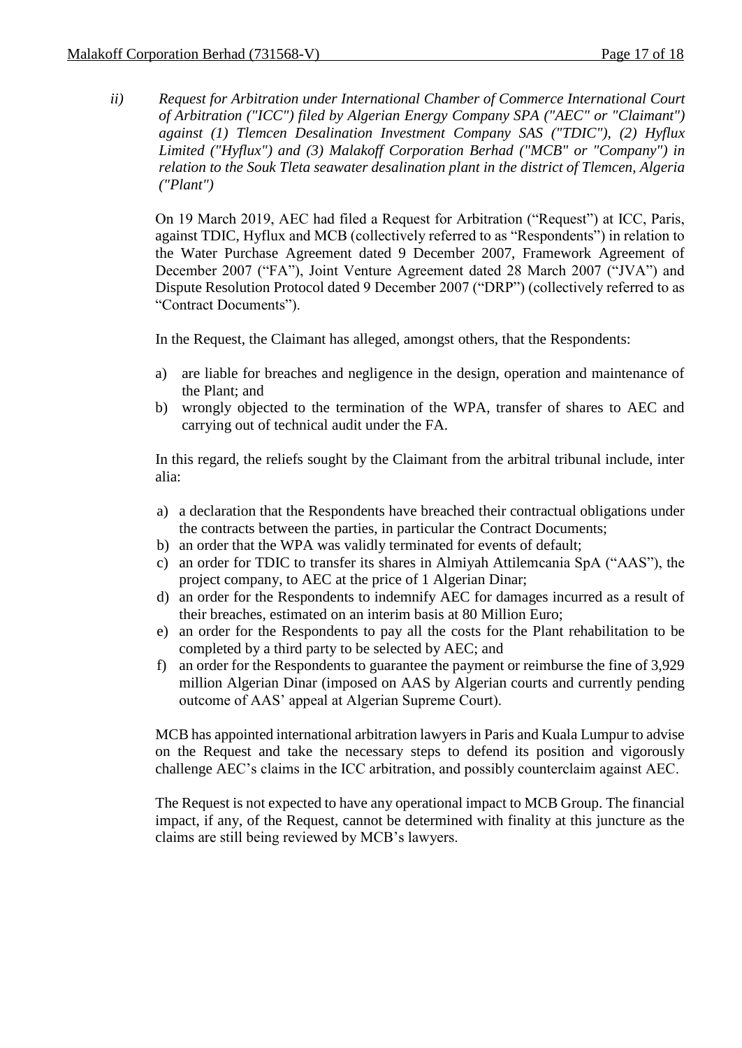*ii) Request for Arbitration under International Chamber of Commerce International Court of Arbitration ("ICC") filed by Algerian Energy Company SPA ("AEC" or "Claimant") against (1) Tlemcen Desalination Investment Company SAS ("TDIC"), (2) Hyflux Limited ("Hyflux") and (3) Malakoff Corporation Berhad ("MCB" or "Company") in relation to the Souk Tleta seawater desalination plant in the district of Tlemcen, Algeria ("Plant")*

On 19 March 2019, AEC had filed a Request for Arbitration ("Request") at ICC, Paris, against TDIC, Hyflux and MCB (collectively referred to as "Respondents") in relation to the Water Purchase Agreement dated 9 December 2007, Framework Agreement of December 2007 ("FA"), Joint Venture Agreement dated 28 March 2007 ("JVA") and Dispute Resolution Protocol dated 9 December 2007 ("DRP") (collectively referred to as "Contract Documents").

In the Request, the Claimant has alleged, amongst others, that the Respondents:

- a) are liable for breaches and negligence in the design, operation and maintenance of the Plant; and
- b) wrongly objected to the termination of the WPA, transfer of shares to AEC and carrying out of technical audit under the FA.

In this regard, the reliefs sought by the Claimant from the arbitral tribunal include, inter alia:

- a) a declaration that the Respondents have breached their contractual obligations under the contracts between the parties, in particular the Contract Documents;
- b) an order that the WPA was validly terminated for events of default;
- c) an order for TDIC to transfer its shares in Almiyah Attilemcania SpA ("AAS"), the project company, to AEC at the price of 1 Algerian Dinar;
- d) an order for the Respondents to indemnify AEC for damages incurred as a result of their breaches, estimated on an interim basis at 80 Million Euro;
- e) an order for the Respondents to pay all the costs for the Plant rehabilitation to be completed by a third party to be selected by AEC; and
- f) an order for the Respondents to guarantee the payment or reimburse the fine of 3,929 million Algerian Dinar (imposed on AAS by Algerian courts and currently pending outcome of AAS' appeal at Algerian Supreme Court).

MCB has appointed international arbitration lawyers in Paris and Kuala Lumpur to advise on the Request and take the necessary steps to defend its position and vigorously challenge AEC's claims in the ICC arbitration, and possibly counterclaim against AEC.

The Request is not expected to have any operational impact to MCB Group. The financial impact, if any, of the Request, cannot be determined with finality at this juncture as the claims are still being reviewed by MCB's lawyers.